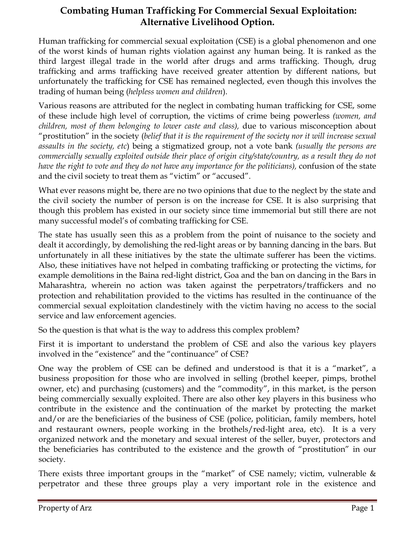# **Combating Human Trafficking For Commercial Sexual Exploitation: Alternative Livelihood Option.**

Human trafficking for commercial sexual exploitation (CSE) is a global phenomenon and one of the worst kinds of human rights violation against any human being. It is ranked as the third largest illegal trade in the world after drugs and arms trafficking. Though, drug trafficking and arms trafficking have received greater attention by different nations, but unfortunately the trafficking for CSE has remained neglected, even though this involves the trading of human being (*helpless women and children*).

Various reasons are attributed for the neglect in combating human trafficking for CSE, some of these include high level of corruption, the victims of crime being powerless *(women, and children, most of them belonging to lower caste and class),* due to various misconception about "prostitution" in the society (*belief that it is the requirement of the society nor it will increase sexual assaults in the society, etc*) being a stigmatized group, not a vote bank *(usually the persons are commercially sexually exploited outside their place of origin city/state/country, as a result they do not have the right to vote and they do not have any importance for the politicians),* confusion of the state and the civil society to treat them as "victim" or "accused".

What ever reasons might be, there are no two opinions that due to the neglect by the state and the civil society the number of person is on the increase for CSE. It is also surprising that though this problem has existed in our society since time immemorial but still there are not many successful model's of combating trafficking for CSE.

The state has usually seen this as a problem from the point of nuisance to the society and dealt it accordingly, by demolishing the red-light areas or by banning dancing in the bars. But unfortunately in all these initiatives by the state the ultimate sufferer has been the victims. Also, these initiatives have not helped in combating trafficking or protecting the victims, for example demolitions in the Baina red-light district, Goa and the ban on dancing in the Bars in Maharashtra, wherein no action was taken against the perpetrators/traffickers and no protection and rehabilitation provided to the victims has resulted in the continuance of the commercial sexual exploitation clandestinely with the victim having no access to the social service and law enforcement agencies.

So the question is that what is the way to address this complex problem?

First it is important to understand the problem of CSE and also the various key players involved in the "existence" and the "continuance" of CSE?

One way the problem of CSE can be defined and understood is that it is a "market", a business proposition for those who are involved in selling (brothel keeper, pimps, brothel owner, etc) and purchasing (customers) and the "commodity", in this market, is the person being commercially sexually exploited. There are also other key players in this business who contribute in the existence and the continuation of the market by protecting the market and/or are the beneficiaries of the business of CSE (police, politician, family members, hotel and restaurant owners, people working in the brothels/red-light area, etc). It is a very organized network and the monetary and sexual interest of the seller, buyer, protectors and the beneficiaries has contributed to the existence and the growth of "prostitution" in our society.

There exists three important groups in the "market" of CSE namely; victim, vulnerable  $\&$ perpetrator and these three groups play a very important role in the existence and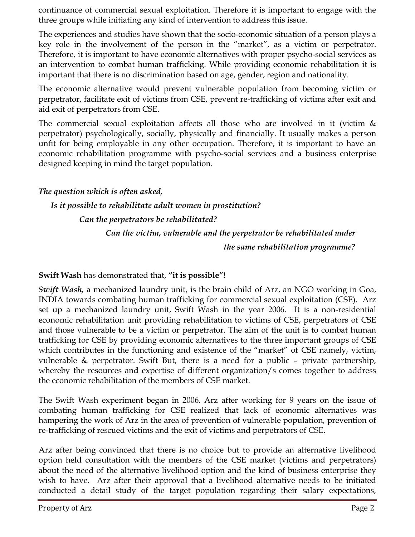continuance of commercial sexual exploitation. Therefore it is important to engage with the three groups while initiating any kind of intervention to address this issue.

The experiences and studies have shown that the socio-economic situation of a person plays a key role in the involvement of the person in the "market", as a victim or perpetrator. Therefore, it is important to have economic alternatives with proper psycho-social services as an intervention to combat human trafficking. While providing economic rehabilitation it is important that there is no discrimination based on age, gender, region and nationality.

The economic alternative would prevent vulnerable population from becoming victim or perpetrator, facilitate exit of victims from CSE, prevent re-trafficking of victims after exit and aid exit of perpetrators from CSE.

The commercial sexual exploitation affects all those who are involved in it (victim  $\&$ perpetrator) psychologically, socially, physically and financially. It usually makes a person unfit for being employable in any other occupation. Therefore, it is important to have an economic rehabilitation programme with psycho-social services and a business enterprise designed keeping in mind the target population.

*The question which is often asked,* 

#### *Is it possible to rehabilitate adult women in prostitution?*

 *Can the perpetrators be rehabilitated?* 

 *Can the victim, vulnerable and the perpetrator be rehabilitated under the same rehabilitation programme?* 

#### **Swift Wash** has demonstrated that, **"it is possible"!**

*Swift Wash,* a mechanized laundry unit, is the brain child of Arz, an NGO working in Goa, INDIA towards combating human trafficking for commercial sexual exploitation (CSE). Arz set up a mechanized laundry unit, Swift Wash in the year 2006. It is a non-residential economic rehabilitation unit providing rehabilitation to victims of CSE, perpetrators of CSE and those vulnerable to be a victim or perpetrator. The aim of the unit is to combat human trafficking for CSE by providing economic alternatives to the three important groups of CSE which contributes in the functioning and existence of the "market" of CSE namely, victim, vulnerable & perpetrator. Swift But, there is a need for a public – private partnership, whereby the resources and expertise of different organization/s comes together to address the economic rehabilitation of the members of CSE market.

The Swift Wash experiment began in 2006. Arz after working for 9 years on the issue of combating human trafficking for CSE realized that lack of economic alternatives was hampering the work of Arz in the area of prevention of vulnerable population, prevention of re-trafficking of rescued victims and the exit of victims and perpetrators of CSE.

Arz after being convinced that there is no choice but to provide an alternative livelihood option held consultation with the members of the CSE market (victims and perpetrators) about the need of the alternative livelihood option and the kind of business enterprise they wish to have. Arz after their approval that a livelihood alternative needs to be initiated conducted a detail study of the target population regarding their salary expectations,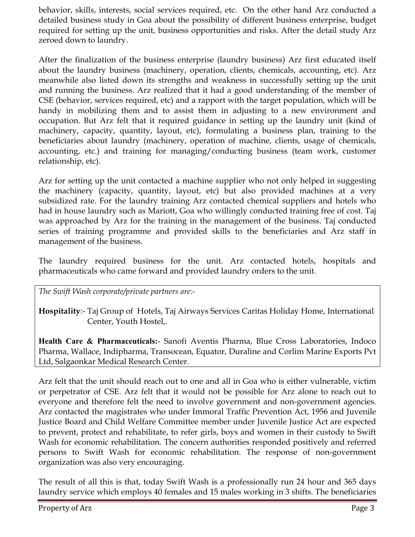behavior, skills, interests, social services required, etc. On the other hand Arz conducted a detailed business study in Goa about the possibility of different business enterprise, budget required for setting up the unit, business opportunities and risks. After the detail study Arz zeroed down to laundry.

After the finalization of the business enterprise (laundry business) Arz first educated itself about the laundry business (machinery, operation, clients, chemicals, accounting, etc). Arz meanwhile also listed down its strengths and weakness in successfully setting up the unit and running the business. Arz realized that it had a good understanding of the member of CSE (behavior, services required, etc) and a rapport with the target population, which will be handy in mobilizing them and to assist them in adjusting to a new environment and occupation. But Arz felt that it required guidance in setting up the laundry unit (kind of machinery, capacity, quantity, layout, etc), formulating a business plan, training to the beneficiaries about laundry (machinery, operation of machine, clients, usage of chemicals, accounting, etc.) and training for managing/conducting business (team work, customer relationship, etc).

Arz for setting up the unit contacted a machine supplier who not only helped in suggesting the machinery (capacity, quantity, layout, etc) but also provided machines at a very subsidized rate. For the laundry training Arz contacted chemical suppliers and hotels who had in house laundry such as Mariott, Goa who willingly conducted training free of cost. Taj was approached by Arz for the training in the management of the business. Taj conducted series of training programme and provided skills to the beneficiaries and Arz staff in management of the business.

The laundry required business for the unit. Arz contacted hotels, hospitals and pharmaceuticals who came forward and provided laundry orders to the unit.

*The Swift Wash corporate/private partners are:-* 

**Hospitality**:- Taj Group of Hotels, Taj Airways Services Caritas Holiday Home, International Center, Youth Hostel,.

**Health Care & Pharmaceuticals:**- Sanofi Aventis Pharma, Blue Cross Laboratories, Indoco Pharma, Wallace, Indipharma, Transocean, Equator, Duraline and Corlim Marine Exports Pvt Ltd, Salgaonkar Medical Research Center.

Arz felt that the unit should reach out to one and all in Goa who is either vulnerable, victim or perpetrator of CSE. Arz felt that it would not be possible for Arz alone to reach out to everyone and therefore felt the need to involve government and non-government agencies. Arz contacted the magistrates who under Immoral Traffic Prevention Act, 1956 and Juvenile Justice Board and Child Welfare Committee member under Juvenile Justice Act are expected to prevent, protect and rehabilitate, to refer girls, boys and women in their custody to Swift Wash for economic rehabilitation. The concern authorities responded positively and referred persons to Swift Wash for economic rehabilitation. The response of non-government organization was also very encouraging.

The result of all this is that, today Swift Wash is a professionally run 24 hour and 365 days laundry service which employs 40 females and 15 males working in 3 shifts. The beneficiaries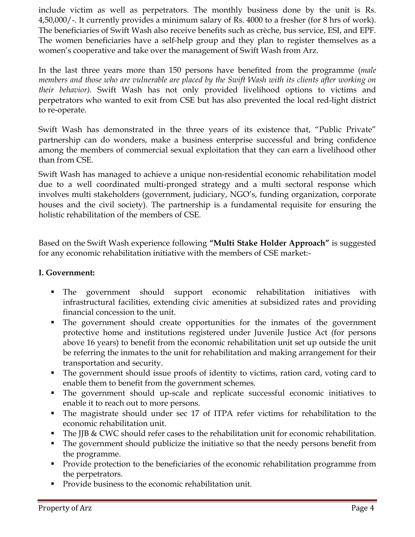include victim as well as perpetrators. The monthly business done by the unit is Rs. 4,50,000/-. It currently provides a minimum salary of Rs. 4000 to a fresher (for 8 hrs of work). The beneficiaries of Swift Wash also receive benefits such as crèche, bus service, ESI, and EPF. The women beneficiaries have a self-help group and they plan to register themselves as a women's cooperative and take over the management of Swift Wash from Arz.

In the last three years more than 150 persons have benefited from the programme (*male members and those who are vulnerable are placed by the Swift Wash with its clients after working on their behavior).* Swift Wash has not only provided livelihood options to victims and perpetrators who wanted to exit from CSE but has also prevented the local red-light district to re-operate.

Swift Wash has demonstrated in the three years of its existence that, "Public Private" partnership can do wonders, make a business enterprise successful and bring confidence among the members of commercial sexual exploitation that they can earn a livelihood other than from CSE.

Swift Wash has managed to achieve a unique non-residential economic rehabilitation model due to a well coordinated multi-pronged strategy and a multi sectoral response which involves multi stakeholders (government, judiciary, NGO's, funding organization, corporate houses and the civil society). The partnership is a fundamental requisite for ensuring the holistic rehabilitation of the members of CSE.

Based on the Swift Wash experience following **"Multi Stake Holder Approach"** is suggested for any economic rehabilitation initiative with the members of CSE market:-

#### **I. Government:**

- The government should support economic rehabilitation initiatives with infrastructural facilities, extending civic amenities at subsidized rates and providing financial concession to the unit.
- The government should create opportunities for the inmates of the government protective home and institutions registered under Juvenile Justice Act (for persons above 16 years) to benefit from the economic rehabilitation unit set up outside the unit be referring the inmates to the unit for rehabilitation and making arrangement for their transportation and security.
- The government should issue proofs of identity to victims, ration card, voting card to enable them to benefit from the government schemes.
- The government should up-scale and replicate successful economic initiatives to enable it to reach out to more persons.
- The magistrate should under sec 17 of ITPA refer victims for rehabilitation to the economic rehabilitation unit.
- The IIB & CWC should refer cases to the rehabilitation unit for economic rehabilitation.
- The government should publicize the initiative so that the needy persons benefit from the programme.
- **Provide protection to the beneficiaries of the economic rehabilitation programme from** the perpetrators.
- Provide business to the economic rehabilitation unit.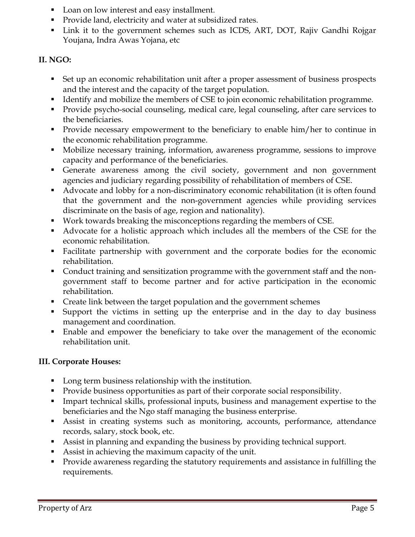- Loan on low interest and easy installment.
- **Provide land, electricity and water at subsidized rates.**
- Link it to the government schemes such as ICDS, ART, DOT, Rajiv Gandhi Rojgar Youjana, Indra Awas Yojana, etc

### **II. NGO:**

- Set up an economic rehabilitation unit after a proper assessment of business prospects and the interest and the capacity of the target population.
- Identify and mobilize the members of CSE to join economic rehabilitation programme.
- **Provide psycho-social counseling, medical care, legal counseling, after care services to** the beneficiaries.
- Provide necessary empowerment to the beneficiary to enable him/her to continue in the economic rehabilitation programme.
- Mobilize necessary training, information, awareness programme, sessions to improve capacity and performance of the beneficiaries.
- Generate awareness among the civil society, government and non government agencies and judiciary regarding possibility of rehabilitation of members of CSE.
- Advocate and lobby for a non-discriminatory economic rehabilitation (it is often found that the government and the non-government agencies while providing services discriminate on the basis of age, region and nationality).
- Work towards breaking the misconceptions regarding the members of CSE.
- Advocate for a holistic approach which includes all the members of the CSE for the economic rehabilitation.
- Facilitate partnership with government and the corporate bodies for the economic rehabilitation.
- Conduct training and sensitization programme with the government staff and the nongovernment staff to become partner and for active participation in the economic rehabilitation.
- **Create link between the target population and the government schemes**
- Support the victims in setting up the enterprise and in the day to day business management and coordination.
- Enable and empower the beneficiary to take over the management of the economic rehabilitation unit.

## **III. Corporate Houses:**

- Long term business relationship with the institution.
- **Provide business opportunities as part of their corporate social responsibility.**
- Impart technical skills, professional inputs, business and management expertise to the beneficiaries and the Ngo staff managing the business enterprise.
- Assist in creating systems such as monitoring, accounts, performance, attendance records, salary, stock book, etc.
- Assist in planning and expanding the business by providing technical support.
- Assist in achieving the maximum capacity of the unit.
- **Provide awareness regarding the statutory requirements and assistance in fulfilling the** requirements.